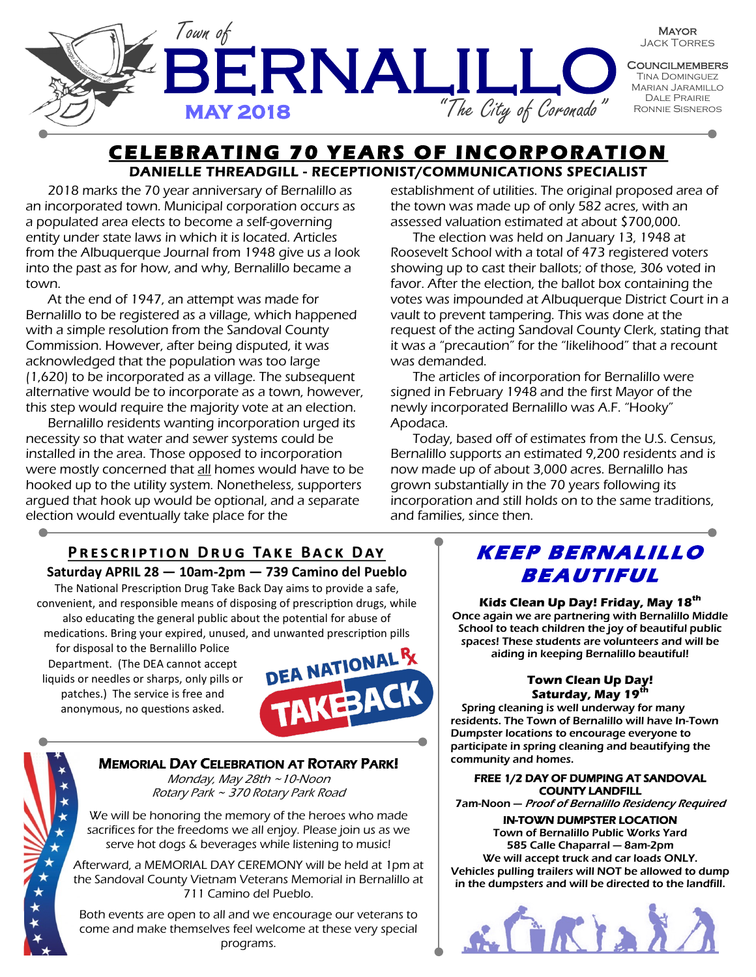

## **CELEBRATING 70 YEARS OF INCORPORATION** DANIELLE THREADGILL - RECEPTIONIST/COMMUNICATIONS SPECIALIST

2018 marks the 70 year anniversary of Bernalillo as an incorporated town. Municipal corporation occurs as a populated area elects to become a self-governing entity under state laws in which it is located. Articles from the Albuquerque Journal from 1948 give us a look into the past as for how, and why, Bernalillo became a town.

At the end of 1947, an attempt was made for Bernalillo to be registered as a village, which happened with a simple resolution from the Sandoval County Commission. However, after being disputed, it was acknowledged that the population was too large (1,620) to be incorporated as a village. The subsequent alternative would be to incorporate as a town, however, this step would require the majority vote at an election.

Bernalillo residents wanting incorporation urged its necessity so that water and sewer systems could be installed in the area. Those opposed to incorporation were mostly concerned that all homes would have to be hooked up to the utility system. Nonetheless, supporters argued that hook up would be optional, and a separate election would eventually take place for the

establishment of utilities. The original proposed area of the town was made up of only 582 acres, with an assessed valuation estimated at about \$700,000.

The election was held on January 13, 1948 at Roosevelt School with a total of 473 registered voters showing up to cast their ballots; of those, 306 voted in favor. After the election, the ballot box containing the votes was impounded at Albuquerque District Court in a vault to prevent tampering. This was done at the request of the acting Sandoval County Clerk, stating that it was a "precaution" for the "likelihood" that a recount was demanded.

The articles of incorporation for Bernalillo were signed in February 1948 and the first Mayor of the newly incorporated Bernalillo was A.F. "Hooky" Apodaca.

Today, based off of estimates from the U.S. Census, Bernalillo supports an estimated 9,200 residents and is now made up of about 3,000 acres. Bernalillo has grown substantially in the 70 years following its incorporation and still holds on to the same traditions, and families, since then.

# **PRESCRIPTION DRUG TAKE BACK DAY**

## **Saturday APRIL 28 — 10am-2pm — 739 Camino del Pueblo**

The National Prescription Drug Take Back Day aims to provide a safe, convenient, and responsible means of disposing of prescription drugs, while also educating the general public about the potential for abuse of medications. Bring your expired, unused, and unwanted prescription pills

for disposal to the Bernalillo Police Department. (The DEA cannot accept liquids or needles or sharps, only pills or patches.) The service is free and anonymous, no questions asked.



## MEMORIAL DAY CELEBRATION AT ROTARY PARK!

Monday, May 28th ~10-Noon Rotary Park ~ 370 Rotary Park Road

We will be honoring the memory of the heroes who made sacrifices for the freedoms we all enjoy. Please join us as we serve hot dogs & beverages while listening to music!

Afterward, a MEMORIAL DAY CEREMONY will be held at 1pm at the Sandoval County Vietnam Veterans Memorial in Bernalillo at 711 Camino del Pueblo.

Both events are open to all and we encourage our veterans to come and make themselves feel welcome at these very special programs.

## KEEP BERNALILLO **<sup>B</sup> <sup>E</sup> <sup>A</sup> UT IF UL**

#### **Kids Clean Up Day! Friday, May 18th**

Once again we are partnering with Bernalillo Middle School to teach children the joy of beautiful public spaces! These students are volunteers and will be aiding in keeping Bernalillo beautiful!

#### **Town Clean Up Day! Saturday, May 19th**

Spring cleaning is well underway for many residents. The Town of Bernalillo will have In-Town Dumpster locations to encourage everyone to participate in spring cleaning and beautifying the community and homes.

#### FREE 1/2 DAY OF DUMPING AT SANDOVAL COUNTY LANDFILL

7am-Noon — Proof of Bernalillo Residency Required

#### IN-TOWN DUMPSTER LOCATION

Town of Bernalillo Public Works Yard 585 Calle Chaparral — 8am-2pm We will accept truck and car loads ONLY. Vehicles pulling trailers will NOT be allowed to dump in the dumpsters and will be directed to the landfill.